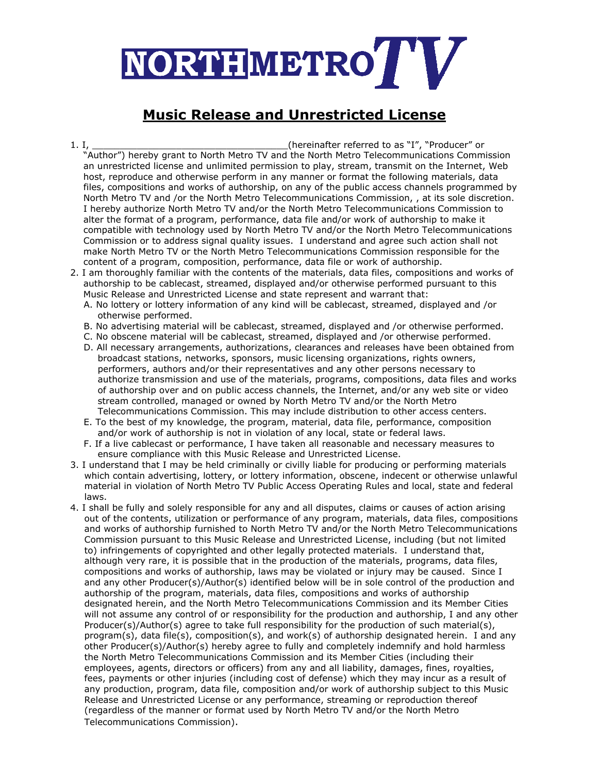

## **Music Release and Unrestricted License**

- 1. I, \_\_\_\_\_\_\_\_\_\_\_\_\_\_\_\_\_\_\_\_\_\_\_\_\_\_\_\_\_\_\_\_\_\_\_(hereinafter referred to as "I", "Producer" or "Author") hereby grant to North Metro TV and the North Metro Telecommunications Commission an unrestricted license and unlimited permission to play, stream, transmit on the Internet, Web host, reproduce and otherwise perform in any manner or format the following materials, data files, compositions and works of authorship, on any of the public access channels programmed by North Metro TV and /or the North Metro Telecommunications Commission, , at its sole discretion. I hereby authorize North Metro TV and/or the North Metro Telecommunications Commission to alter the format of a program, performance, data file and/or work of authorship to make it compatible with technology used by North Metro TV and/or the North Metro Telecommunications Commission or to address signal quality issues. I understand and agree such action shall not make North Metro TV or the North Metro Telecommunications Commission responsible for the content of a program, composition, performance, data file or work of authorship.
- 2. I am thoroughly familiar with the contents of the materials, data files, compositions and works of authorship to be cablecast, streamed, displayed and/or otherwise performed pursuant to this Music Release and Unrestricted License and state represent and warrant that:
	- A. No lottery or lottery information of any kind will be cablecast, streamed, displayed and /or otherwise performed.
	- B. No advertising material will be cablecast, streamed, displayed and /or otherwise performed.
	- C. No obscene material will be cablecast, streamed, displayed and /or otherwise performed.
	- D. All necessary arrangements, authorizations, clearances and releases have been obtained from broadcast stations, networks, sponsors, music licensing organizations, rights owners, performers, authors and/or their representatives and any other persons necessary to authorize transmission and use of the materials, programs, compositions, data files and works of authorship over and on public access channels, the Internet, and/or any web site or video stream controlled, managed or owned by North Metro TV and/or the North Metro Telecommunications Commission. This may include distribution to other access centers.
	- E. To the best of my knowledge, the program, material, data file, performance, composition and/or work of authorship is not in violation of any local, state or federal laws.
	- F. If a live cablecast or performance, I have taken all reasonable and necessary measures to ensure compliance with this Music Release and Unrestricted License.
- 3. I understand that I may be held criminally or civilly liable for producing or performing materials which contain advertising, lottery, or lottery information, obscene, indecent or otherwise unlawful material in violation of North Metro TV Public Access Operating Rules and local, state and federal laws.
- 4. I shall be fully and solely responsible for any and all disputes, claims or causes of action arising out of the contents, utilization or performance of any program, materials, data files, compositions and works of authorship furnished to North Metro TV and/or the North Metro Telecommunications Commission pursuant to this Music Release and Unrestricted License, including (but not limited to) infringements of copyrighted and other legally protected materials. I understand that, although very rare, it is possible that in the production of the materials, programs, data files, compositions and works of authorship, laws may be violated or injury may be caused. Since I and any other Producer(s)/Author(s) identified below will be in sole control of the production and authorship of the program, materials, data files, compositions and works of authorship designated herein, and the North Metro Telecommunications Commission and its Member Cities will not assume any control of or responsibility for the production and authorship, I and any other Producer(s)/Author(s) agree to take full responsibility for the production of such material(s), program(s), data file(s), composition(s), and work(s) of authorship designated herein. I and any other Producer(s)/Author(s) hereby agree to fully and completely indemnify and hold harmless the North Metro Telecommunications Commission and its Member Cities (including their employees, agents, directors or officers) from any and all liability, damages, fines, royalties, fees, payments or other injuries (including cost of defense) which they may incur as a result of any production, program, data file, composition and/or work of authorship subject to this Music Release and Unrestricted License or any performance, streaming or reproduction thereof (regardless of the manner or format used by North Metro TV and/or the North Metro Telecommunications Commission).